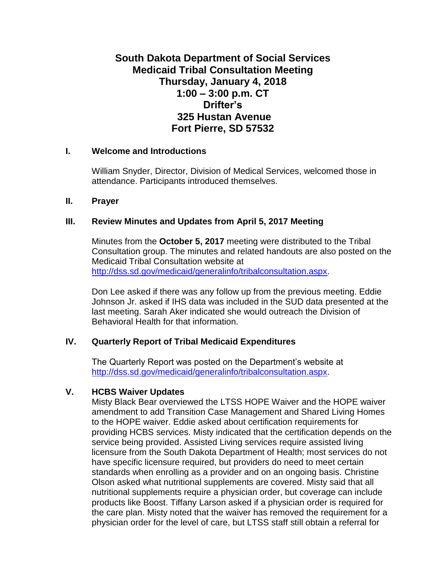# **South Dakota Department of Social Services Medicaid Tribal Consultation Meeting Thursday, January 4, 2018 1:00 – 3:00 p.m. CT Drifter's 325 Hustan Avenue Fort Pierre, SD 57532**

#### **I. Welcome and Introductions**

William Snyder, Director, Division of Medical Services, welcomed those in attendance. Participants introduced themselves.

#### **II. Prayer**

# **III. Review Minutes and Updates from April 5, 2017 Meeting**

Minutes from the **October 5, 2017** meeting were distributed to the Tribal Consultation group. The minutes and related handouts are also posted on the Medicaid Tribal Consultation website at [http://dss.sd.gov/medicaid/generalinfo/tribalconsultation.aspx.](http://dss.sd.gov/medicaid/generalinfo/tribalconsultation.aspx)

Don Lee asked if there was any follow up from the previous meeting. Eddie Johnson Jr. asked if IHS data was included in the SUD data presented at the last meeting. Sarah Aker indicated she would outreach the Division of Behavioral Health for that information.

# **IV. Quarterly Report of Tribal Medicaid Expenditures**

The Quarterly Report was posted on the Department's website at [http://dss.sd.gov/medicaid/generalinfo/tribalconsultation.aspx.](http://dss.sd.gov/medicaid/generalinfo/tribalconsultation.aspx)

# **V. HCBS Waiver Updates**

Misty Black Bear overviewed the LTSS HOPE Waiver and the HOPE waiver amendment to add Transition Case Management and Shared Living Homes to the HOPE waiver. Eddie asked about certification requirements for providing HCBS services. Misty indicated that the certification depends on the service being provided. Assisted Living services require assisted living licensure from the South Dakota Department of Health; most services do not have specific licensure required, but providers do need to meet certain standards when enrolling as a provider and on an ongoing basis. Christine Olson asked what nutritional supplements are covered. Misty said that all nutritional supplements require a physician order, but coverage can include products like Boost. Tiffany Larson asked if a physician order is required for the care plan. Misty noted that the waiver has removed the requirement for a physician order for the level of care, but LTSS staff still obtain a referral for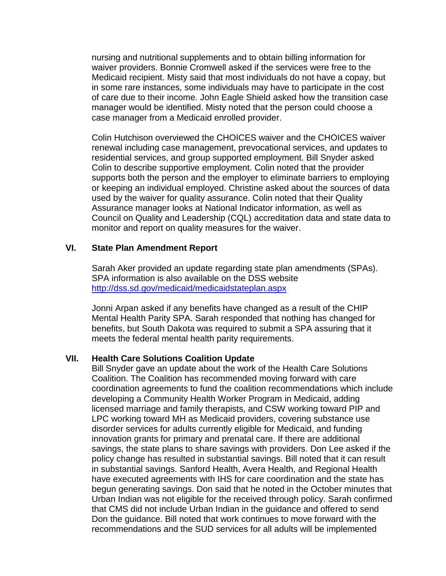nursing and nutritional supplements and to obtain billing information for waiver providers. Bonnie Cromwell asked if the services were free to the Medicaid recipient. Misty said that most individuals do not have a copay, but in some rare instances, some individuals may have to participate in the cost of care due to their income. John Eagle Shield asked how the transition case manager would be identified. Misty noted that the person could choose a case manager from a Medicaid enrolled provider.

Colin Hutchison overviewed the CHOICES waiver and the CHOICES waiver renewal including case management, prevocational services, and updates to residential services, and group supported employment. Bill Snyder asked Colin to describe supportive employment. Colin noted that the provider supports both the person and the employer to eliminate barriers to employing or keeping an individual employed. Christine asked about the sources of data used by the waiver for quality assurance. Colin noted that their Quality Assurance manager looks at National Indicator information, as well as Council on Quality and Leadership (CQL) accreditation data and state data to monitor and report on quality measures for the waiver.

#### **VI. State Plan Amendment Report**

Sarah Aker provided an update regarding state plan amendments (SPAs). SPA information is also available on the DSS website <http://dss.sd.gov/medicaid/medicaidstateplan.aspx>

Jonni Arpan asked if any benefits have changed as a result of the CHIP Mental Health Parity SPA. Sarah responded that nothing has changed for benefits, but South Dakota was required to submit a SPA assuring that it meets the federal mental health parity requirements.

#### **VII. Health Care Solutions Coalition Update**

Bill Snyder gave an update about the work of the Health Care Solutions Coalition. The Coalition has recommended moving forward with care coordination agreements to fund the coalition recommendations which include developing a Community Health Worker Program in Medicaid, adding licensed marriage and family therapists, and CSW working toward PIP and LPC working toward MH as Medicaid providers, covering substance use disorder services for adults currently eligible for Medicaid, and funding innovation grants for primary and prenatal care. If there are additional savings, the state plans to share savings with providers. Don Lee asked if the policy change has resulted in substantial savings. Bill noted that it can result in substantial savings. Sanford Health, Avera Health, and Regional Health have executed agreements with IHS for care coordination and the state has begun generating savings. Don said that he noted in the October minutes that Urban Indian was not eligible for the received through policy. Sarah confirmed that CMS did not include Urban Indian in the guidance and offered to send Don the guidance. Bill noted that work continues to move forward with the recommendations and the SUD services for all adults will be implemented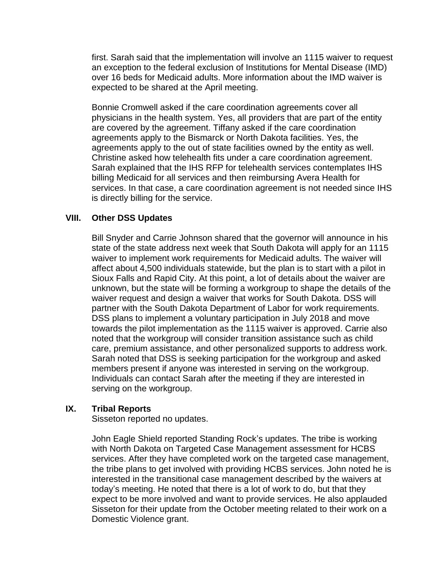first. Sarah said that the implementation will involve an 1115 waiver to request an exception to the federal exclusion of Institutions for Mental Disease (IMD) over 16 beds for Medicaid adults. More information about the IMD waiver is expected to be shared at the April meeting.

Bonnie Cromwell asked if the care coordination agreements cover all physicians in the health system. Yes, all providers that are part of the entity are covered by the agreement. Tiffany asked if the care coordination agreements apply to the Bismarck or North Dakota facilities. Yes, the agreements apply to the out of state facilities owned by the entity as well. Christine asked how telehealth fits under a care coordination agreement. Sarah explained that the IHS RFP for telehealth services contemplates IHS billing Medicaid for all services and then reimbursing Avera Health for services. In that case, a care coordination agreement is not needed since IHS is directly billing for the service.

# **VIII. Other DSS Updates**

Bill Snyder and Carrie Johnson shared that the governor will announce in his state of the state address next week that South Dakota will apply for an 1115 waiver to implement work requirements for Medicaid adults. The waiver will affect about 4,500 individuals statewide, but the plan is to start with a pilot in Sioux Falls and Rapid City. At this point, a lot of details about the waiver are unknown, but the state will be forming a workgroup to shape the details of the waiver request and design a waiver that works for South Dakota. DSS will partner with the South Dakota Department of Labor for work requirements. DSS plans to implement a voluntary participation in July 2018 and move towards the pilot implementation as the 1115 waiver is approved. Carrie also noted that the workgroup will consider transition assistance such as child care, premium assistance, and other personalized supports to address work. Sarah noted that DSS is seeking participation for the workgroup and asked members present if anyone was interested in serving on the workgroup. Individuals can contact Sarah after the meeting if they are interested in serving on the workgroup.

# **IX. Tribal Reports**

Sisseton reported no updates.

John Eagle Shield reported Standing Rock's updates. The tribe is working with North Dakota on Targeted Case Management assessment for HCBS services. After they have completed work on the targeted case management, the tribe plans to get involved with providing HCBS services. John noted he is interested in the transitional case management described by the waivers at today's meeting. He noted that there is a lot of work to do, but that they expect to be more involved and want to provide services. He also applauded Sisseton for their update from the October meeting related to their work on a Domestic Violence grant.